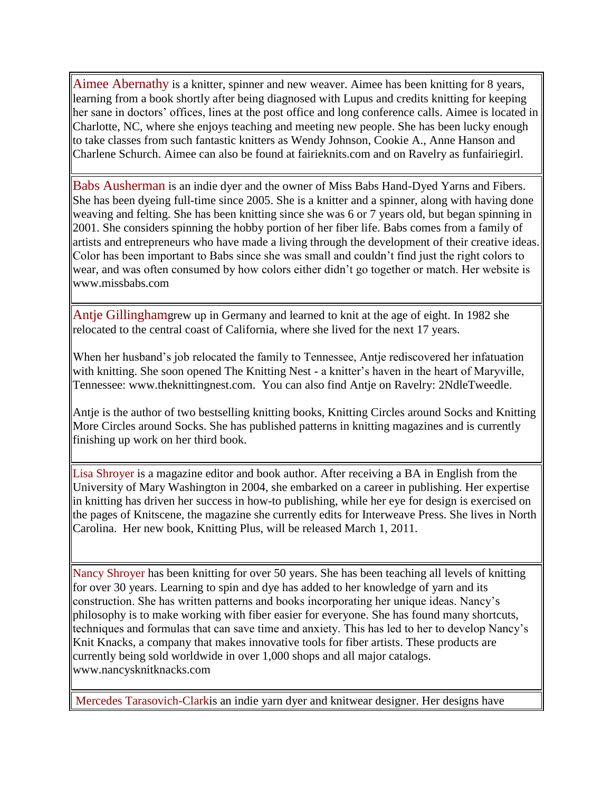Aimee Abernathy is a knitter, spinner and new weaver. Aimee has been knitting for 8 years, learning from a book shortly after being diagnosed with Lupus and credits knitting for keeping her sane in doctors' offices, lines at the post office and long conference calls. Aimee is located in Charlotte, NC, where she enjoys teaching and meeting new people. She has been lucky enough to take classes from such fantastic knitters as Wendy Johnson, Cookie A., Anne Hanson and Charlene Schurch. Aimee can also be found at fairieknits.com and on Ravelry as funfairiegirl.

Babs Ausherman is an indie dyer and the owner of Miss Babs Hand-Dyed Yarns and Fibers. She has been dyeing full-time since 2005. She is a knitter and a spinner, along with having done weaving and felting. She has been knitting since she was 6 or 7 years old, but began spinning in 2001. She considers spinning the hobby portion of her fiber life. Babs comes from a family of artists and entrepreneurs who have made a living through the development of their creative ideas. Color has been important to Babs since she was small and couldn't find just the right colors to wear, and was often consumed by how colors either didn't go together or match. Her website is www.missbabs.com

Antje Gillinghamgrew up in Germany and learned to knit at the age of eight. In 1982 she relocated to the central coast of California, where she lived for the next 17 years.

When her husband's job relocated the family to Tennessee, Antje rediscovered her infatuation with knitting. She soon opened The Knitting Nest - a knitter's haven in the heart of Maryville, Tennessee: www.theknittingnest.com. You can also find Antje on Ravelry: 2NdleTweedle.

Antje is the author of two bestselling knitting books, Knitting Circles around Socks and Knitting More Circles around Socks. She has published patterns in knitting magazines and is currently finishing up work on her third book.

Lisa Shroyer is a magazine editor and book author. After receiving a BA in English from the University of Mary Washington in 2004, she embarked on a career in publishing. Her expertise in knitting has driven her success in how-to publishing, while her eye for design is exercised on the pages of Knitscene, the magazine she currently edits for Interweave Press. She lives in North Carolina. Her new book, Knitting Plus, will be released March 1, 2011.

Nancy Shroyer has been knitting for over 50 years. She has been teaching all levels of knitting for over 30 years. Learning to spin and dye has added to her knowledge of yarn and its construction. She has written patterns and books incorporating her unique ideas. Nancy's philosophy is to make working with fiber easier for everyone. She has found many shortcuts, techniques and formulas that can save time and anxiety. This has led to her to develop Nancy's Knit Knacks, a company that makes innovative tools for fiber artists. These products are currently being sold worldwide in over 1,000 shops and all major catalogs. www.nancysknitknacks.com

Mercedes Tarasovich-Clarkis an indie yarn dyer and knitwear designer. Her designs have